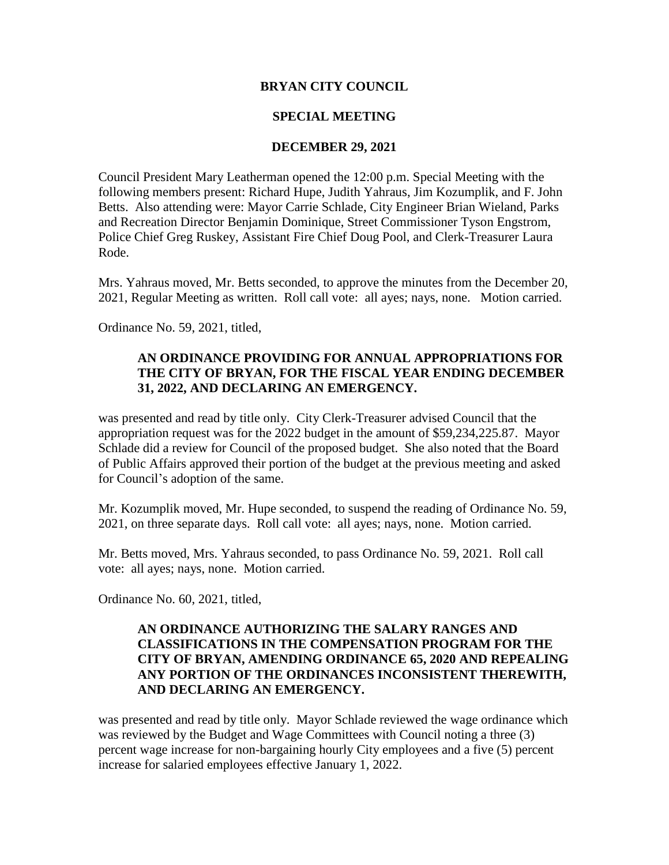### **BRYAN CITY COUNCIL**

### **SPECIAL MEETING**

#### **DECEMBER 29, 2021**

Council President Mary Leatherman opened the 12:00 p.m. Special Meeting with the following members present: Richard Hupe, Judith Yahraus, Jim Kozumplik, and F. John Betts. Also attending were: Mayor Carrie Schlade, City Engineer Brian Wieland, Parks and Recreation Director Benjamin Dominique, Street Commissioner Tyson Engstrom, Police Chief Greg Ruskey, Assistant Fire Chief Doug Pool, and Clerk-Treasurer Laura Rode.

Mrs. Yahraus moved, Mr. Betts seconded, to approve the minutes from the December 20, 2021, Regular Meeting as written. Roll call vote: all ayes; nays, none. Motion carried.

Ordinance No. 59, 2021, titled,

# **AN ORDINANCE PROVIDING FOR ANNUAL APPROPRIATIONS FOR THE CITY OF BRYAN, FOR THE FISCAL YEAR ENDING DECEMBER 31, 2022, AND DECLARING AN EMERGENCY.**

was presented and read by title only. City Clerk-Treasurer advised Council that the appropriation request was for the 2022 budget in the amount of \$59,234,225.87. Mayor Schlade did a review for Council of the proposed budget. She also noted that the Board of Public Affairs approved their portion of the budget at the previous meeting and asked for Council's adoption of the same.

Mr. Kozumplik moved, Mr. Hupe seconded, to suspend the reading of Ordinance No. 59, 2021, on three separate days. Roll call vote: all ayes; nays, none. Motion carried.

Mr. Betts moved, Mrs. Yahraus seconded, to pass Ordinance No. 59, 2021. Roll call vote: all ayes; nays, none. Motion carried.

Ordinance No. 60, 2021, titled,

# **AN ORDINANCE AUTHORIZING THE SALARY RANGES AND CLASSIFICATIONS IN THE COMPENSATION PROGRAM FOR THE CITY OF BRYAN, AMENDING ORDINANCE 65, 2020 AND REPEALING ANY PORTION OF THE ORDINANCES INCONSISTENT THEREWITH, AND DECLARING AN EMERGENCY.**

was presented and read by title only. Mayor Schlade reviewed the wage ordinance which was reviewed by the Budget and Wage Committees with Council noting a three (3) percent wage increase for non-bargaining hourly City employees and a five (5) percent increase for salaried employees effective January 1, 2022.